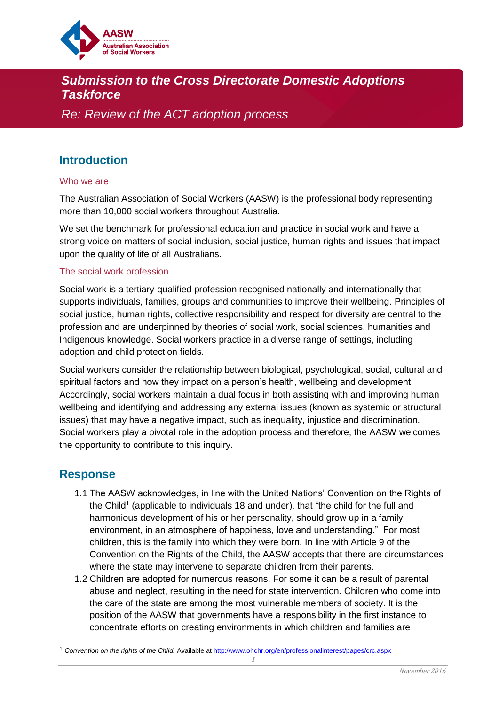

# *Submission to the Cross Directorate Domestic Adoptions Taskforce*

*Re: Review of the ACT adoption process*

## **Introduction**

#### Who we are

The Australian Association of Social Workers (AASW) is the professional body representing more than 10,000 social workers throughout Australia.

We set the benchmark for professional education and practice in social work and have a strong voice on matters of social inclusion, social justice, human rights and issues that impact upon the quality of life of all Australians.

#### The social work profession

Social work is a tertiary-qualified profession recognised nationally and internationally that supports individuals, families, groups and communities to improve their wellbeing. Principles of social justice, human rights, collective responsibility and respect for diversity are central to the profession and are underpinned by theories of social work, social sciences, humanities and Indigenous knowledge. Social workers practice in a diverse range of settings, including adoption and child protection fields.

Social workers consider the relationship between biological, psychological, social, cultural and spiritual factors and how they impact on a person's health, wellbeing and development. Accordingly, social workers maintain a dual focus in both assisting with and improving human wellbeing and identifying and addressing any external issues (known as systemic or structural issues) that may have a negative impact, such as inequality, injustice and discrimination. Social workers play a pivotal role in the adoption process and therefore, the AASW welcomes the opportunity to contribute to this inquiry.

### **Response**

 $\overline{\phantom{a}}$ 

- 1.1 The AASW acknowledges, in line with the United Nations' Convention on the Rights of the Child<sup>1</sup> (applicable to individuals 18 and under), that "the child for the full and harmonious development of his or her personality, should grow up in a family environment, in an atmosphere of happiness, love and understanding." For most children, this is the family into which they were born. In line with Article 9 of the Convention on the Rights of the Child, the AASW accepts that there are circumstances where the state may intervene to separate children from their parents.
- 1.2 Children are adopted for numerous reasons. For some it can be a result of parental abuse and neglect, resulting in the need for state intervention. Children who come into the care of the state are among the most vulnerable members of society. It is the position of the AASW that governments have a responsibility in the first instance to concentrate efforts on creating environments in which children and families are

<sup>1</sup> *Convention on the rights of the Child.* Available a[t http://www.ohchr.org/en/professionalinterest/pages/crc.aspx](http://www.ohchr.org/en/professionalinterest/pages/crc.aspx)